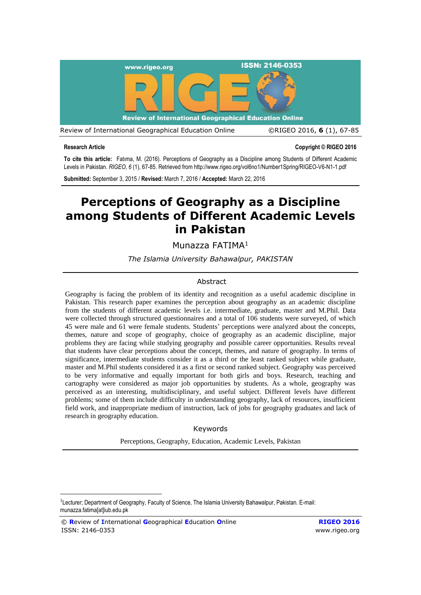

1

**Research Article Copyright © RIGEO 2016**

**To cite this article:** Fatıma, M. (2016). Perceptions of Geography as a Discipline among Students of Different Academic Levels in Pakistan. *RIGEO*, *6* (1), 67-85. Retrieved fro[m http://www.rigeo.org/vol6no1/Number1Spring/RIGEO-V6-N1-1.pdf](http://www.rigeo.org/vol6no1/Number1Spring/RIGEO-V6-N1-1.pdf)

**Submitted:** September 3, 2015 / **Revised:** March 7, 2016 / **Accepted:** March 22, 2016

# **Perceptions of Geography as a Discipline among Students of Different Academic Levels in Pakistan**

Munazza FATIMA<sup>1</sup>

*The Islamia University Bahawalpur, PAKISTAN*

#### Abstract

Geography is facing the problem of its identity and recognition as a useful academic discipline in Pakistan. This research paper examines the perception about geography as an academic discipline from the students of different academic levels i.e. intermediate, graduate, master and M.Phil. Data were collected through structured questionnaires and a total of 106 students were surveyed, of which 45 were male and 61 were female students. Students' perceptions were analyzed about the concepts, themes, nature and scope of geography, choice of geography as an academic discipline, major problems they are facing while studying geography and possible career opportunities. Results reveal that students have clear perceptions about the concept, themes, and nature of geography. In terms of significance, intermediate students consider it as a third or the least ranked subject while graduate, master and M.Phil students considered it as a first or second ranked subject. Geography was perceived to be very informative and equally important for both girls and boys. Research, teaching and cartography were considered as major job opportunities by students. As a whole, geography was perceived as an interesting, multidisciplinary, and useful subject. Different levels have different problems; some of them include difficulty in understanding geography, lack of resources, insufficient field work, and inappropriate medium of instruction, lack of jobs for geography graduates and lack of research in geography education.

#### Keywords

Perceptions, Geography, Education, Academic Levels, Pakistan

<sup>&</sup>lt;sup>1</sup>Lecturer; Department of Geography, Faculty of Science, The Islamia University Bahawalpur, Pakistan. E-mail: munazza.fatima[at]iub.edu.pk

<sup>©</sup> **R**eview of **I**nternational **G**eographical **E**ducation **O**nline **RIGEO 2016** ISSN: 2146-0353 [www.rigeo.org](http://www.rigeo.org/)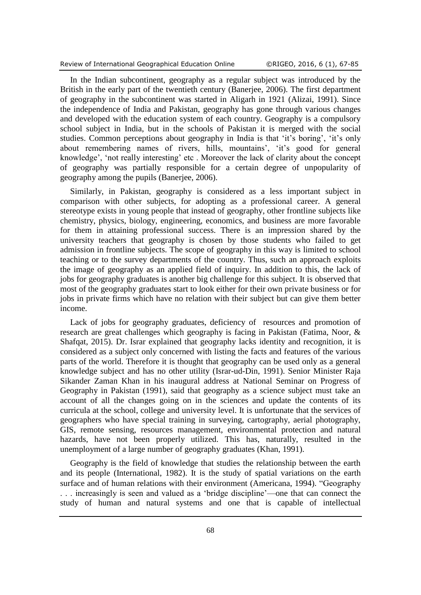In the Indian subcontinent, geography as a regular subject was introduced by the British in the early part of the twentieth century [\(Banerjee, 2006\)](#page-16-0). The first department of geography in the subcontinent was started in Aligarh in 1921 [\(Alizai, 1991\)](#page-16-1). Since the independence of India and Pakistan, geography has gone through various changes and developed with the education system of each country. Geography is a compulsory school subject in India, but in the schools of Pakistan it is merged with the social studies. Common perceptions about geography in India is that 'it's boring', 'it's only about remembering names of rivers, hills, mountains', 'it's good for general knowledge', 'not really interesting' etc . Moreover the lack of clarity about the concept of geography was partially responsible for a certain degree of unpopularity of geography among the pupils [\(Banerjee, 2006\)](#page-16-0).

Similarly, in Pakistan, geography is considered as a less important subject in comparison with other subjects, for adopting as a professional career. A general stereotype exists in young people that instead of geography, other frontline subjects like chemistry, physics, biology, engineering, economics, and business are more favorable for them in attaining professional success. There is an impression shared by the university teachers that geography is chosen by those students who failed to get admission in frontline subjects. The scope of geography in this way is limited to school teaching or to the survey departments of the country. Thus, such an approach exploits the image of geography as an applied field of inquiry. In addition to this, the lack of jobs for geography graduates is another big challenge for this subject. It is observed that most of the geography graduates start to look either for their own private business or for jobs in private firms which have no relation with their subject but can give them better income.

Lack of jobs for geography graduates, deficiency of resources and promotion of research are great challenges which geography is facing in Pakistan [\(Fatima, Noor, &](#page-17-0)  [Shafqat, 2015\)](#page-17-0). Dr. Israr explained that geography lacks identity and recognition, it is considered as a subject only concerned with listing the facts and features of the various parts of the world. Therefore it is thought that geography can be used only as a general knowledge subject and has no other utility [\(Israr-ud-Din, 1991\)](#page-17-1). Senior Minister Raja Sikander Zaman Khan in his inaugural address at National Seminar on Progress of Geography in Pakistan (1991), said that geography as a science subject must take an account of all the changes going on in the sciences and update the contents of its curricula at the school, college and university level. It is unfortunate that the services of geographers who have special training in surveying, cartography, aerial photography, GIS, remote sensing, resources management, environmental protection and natural hazards, have not been properly utilized. This has, naturally, resulted in the unemployment of a large number of geography graduates [\(Khan, 1991\)](#page-17-2).

Geography is the field of knowledge that studies the relationship between the earth and its people [\(International, 1982\)](#page-17-3). It is the study of spatial variations on the earth surface and of human relations with their environment [\(Americana, 1994\)](#page-16-2). "Geography . . . increasingly is seen and valued as a 'bridge discipline'—one that can connect the study of human and natural systems and one that is capable of intellectual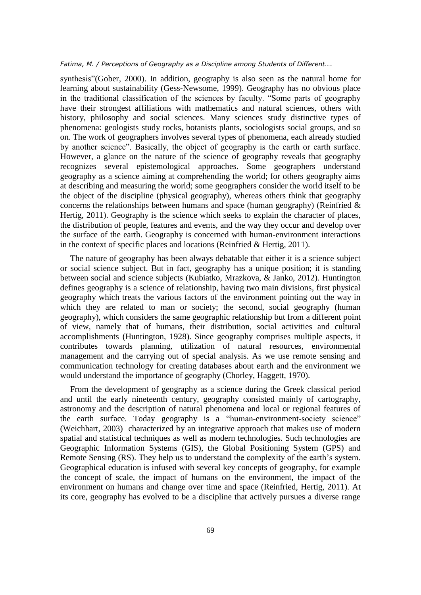*Fatima, M. / Perceptions of Geography as a Discipline among Students of Different….*

synthesis"[\(Gober, 2000\)](#page-17-4). In addition, geography is also seen as the natural home for learning about sustainability [\(Gess-Newsome, 1999\)](#page-17-5). Geography has no obvious place in the traditional classification of the sciences by faculty. "Some parts of geography have their strongest affiliations with mathematics and natural sciences, others with history, philosophy and social sciences. Many sciences study distinctive types of phenomena: geologists study rocks, botanists plants, sociologists social groups, and so on. The work of geographers involves several types of phenomena, each already studied by another science". Basically, the object of geography is the earth or earth surface. However, a glance on the nature of the science of geography reveals that geography recognizes several epistemological approaches. Some geographers understand geography as a science aiming at comprehending the world; for others geography aims at describing and measuring the world; some geographers consider the world itself to be the object of the discipline (physical geography), whereas others think that geography concerns the relationships between humans and space (human geography) (Reinfried  $\&$ [Hertig, 2011\)](#page-17-6). Geography is the science which seeks to explain the character of places, the distribution of people, features and events, and the way they occur and develop over the surface of the earth. Geography is concerned with human-environment interactions in the context of specific places and locations [\(Reinfried & Hertig, 2011\)](#page-17-6).

The nature of geography has been always debatable that either it is a science subject or social science subject. But in fact, geography has a unique position; it is standing between social and science subjects [\(Kubiatko, Mrazkova, & Janko, 2012\)](#page-17-7). Huntington defines geography is a science of relationship, having two main divisions, first physical geography which treats the various factors of the environment pointing out the way in which they are related to man or society; the second, social geography (human geography), which considers the same geographic relationship but from a different point of view, namely that of humans, their distribution, social activities and cultural accomplishments [\(Huntington, 1928\)](#page-17-8). Since geography comprises multiple aspects, it contributes towards planning, utilization of natural resources, environmental management and the carrying out of special analysis. As we use remote sensing and communication technology for creating databases about earth and the environment we would understand the importance of geography (Chorley, [Haggett, 1970\)](#page-16-3).

From the development of geography as a science during the Greek classical period and until the early nineteenth century, geography consisted mainly of cartography, astronomy and the description of natural phenomena and local or regional features of the earth surface. Today geography is a "human-environment-society science" [\(Weichhart, 2003\)](#page-17-9) characterized by an integrative approach that makes use of modern spatial and statistical techniques as well as modern technologies. Such technologies are Geographic Information Systems (GIS), the Global Positioning System (GPS) and Remote Sensing (RS). They help us to understand the complexity of the earth's system. Geographical education is infused with several key concepts of geography, for example the concept of scale, the impact of humans on the environment, the impact of the environment on humans and change over time and space (Reinfried, [Hertig, 2011\)](#page-17-6). At its core, geography has evolved to be a discipline that actively pursues a diverse range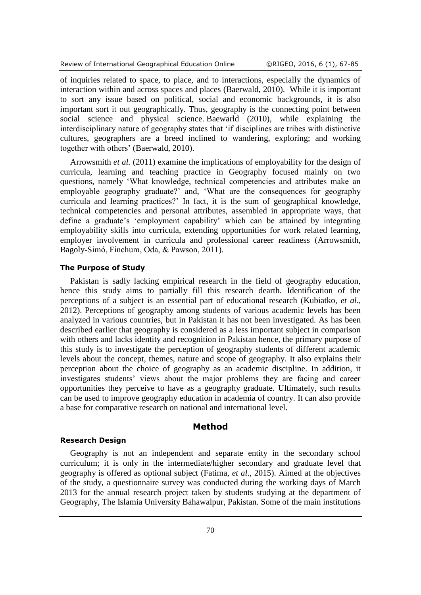of inquiries related to space, to place, and to interactions, especially the dynamics of interaction within and across spaces and places [\(Baerwald, 2010\)](#page-16-4). While it is important to sort any issue based on political, social and economic backgrounds, it is also important sort it out geographically. Thus, geography is the connecting point between social science and physical science. Baewarld (2010), while explaining the interdisciplinary nature of geography states that 'if disciplines are tribes with distinctive cultures, geographers are a breed inclined to wandering, exploring; and working together with others' [\(Baerwald, 2010\)](#page-16-4).

Arrowsmith *et al.* (2011) examine the implications of employability for the design of curricula, learning and teaching practice in Geography focused mainly on two questions, namely 'What knowledge, technical competencies and attributes make an employable geography graduate?' and, 'What are the consequences for geography curricula and learning practices?' In fact, it is the sum of geographical knowledge, technical competencies and personal attributes, assembled in appropriate ways, that define a graduate's 'employment capability' which can be attained by integrating employability skills into curricula, extending opportunities for work related learning, employer involvement in curricula and professional career readiness [\(Arrowsmith,](#page-16-5)  [Bagoly-Simó, Finchum, Oda, & Pawson, 2011\)](#page-16-5).

# **The Purpose of Study**

Pakistan is sadly lacking empirical research in the field of geography education, hence this study aims to partially fill this research dearth. Identification of the perceptions of a subject is an essential part of educational research [\(Kubiatko,](#page-17-7) *et al*., [2012\)](#page-17-7). Perceptions of geography among students of various academic levels has been analyzed in various countries, but in Pakistan it has not been investigated. As has been described earlier that geography is considered as a less important subject in comparison with others and lacks identity and recognition in Pakistan hence, the primary purpose of this study is to investigate the perception of geography students of different academic levels about the concept, themes, nature and scope of geography. It also explains their perception about the choice of geography as an academic discipline. In addition, it investigates students' views about the major problems they are facing and career opportunities they perceive to have as a geography graduate. Ultimately, such results can be used to improve geography education in academia of country. It can also provide a base for comparative research on national and international level.

#### **Method**

#### **Research Design**

Geography is not an independent and separate entity in the secondary school curriculum; it is only in the intermediate/higher secondary and graduate level that geography is offered as optional subject [\(Fatima,](#page-17-0) *et al*., 2015). Aimed at the objectives of the study, a questionnaire survey was conducted during the working days of March 2013 for the annual research project taken by students studying at the department of Geography, The Islamia University Bahawalpur, Pakistan. Some of the main institutions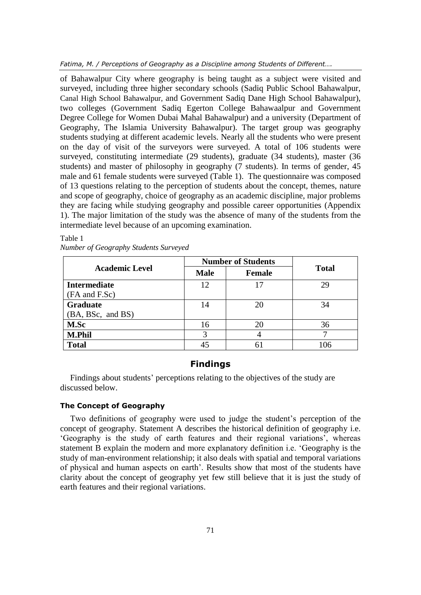*Fatima, M. / Perceptions of Geography as a Discipline among Students of Different….*

of Bahawalpur City where geography is being taught as a subject were visited and surveyed, including three higher secondary schools (Sadiq Public School Bahawalpur, Canal High School Bahawalpur, and Government Sadiq Dane High School Bahawalpur), two colleges (Government Sadiq Egerton College Bahawaalpur and Government Degree College for Women Dubai Mahal Bahawalpur) and a university (Department of Geography, The Islamia University Bahawalpur). The target group was geography students studying at different academic levels. Nearly all the students who were present on the day of visit of the surveyors were surveyed. A total of 106 students were surveyed, constituting intermediate (29 students), graduate (34 students), master (36 students) and master of philosophy in geography (7 students). In terms of gender, 45 male and 61 female students were surveyed [\(Table 1\)](#page-4-0). The questionnaire was composed of 13 questions relating to the perception of students about the concept, themes, nature and scope of geography, choice of geography as an academic discipline, major problems they are facing while studying geography and possible career opportunities (Appendix 1). The major limitation of the study was the absence of many of the students from the intermediate level because of an upcoming examination.

| <b>Academic Level</b> | <b>Number of Students</b> |               |              |
|-----------------------|---------------------------|---------------|--------------|
|                       | <b>Male</b>               | <b>Female</b> | <b>Total</b> |
| <b>Intermediate</b>   | 12                        | 17            | 29           |
| (FA and F.Sc)         |                           |               |              |
| <b>Graduate</b>       | 14                        | 20            | 34           |
| (BA, BSc, and BS)     |                           |               |              |
| M.Sc                  | 16                        | 20            | 36           |
| <b>M.Phil</b>         | 3                         |               | ⇁            |
| <b>Total</b>          | 45                        |               |              |

<span id="page-4-0"></span>Table 1 *Number of Geography Students Surveyed*

# **Findings**

Findings about students' perceptions relating to the objectives of the study are discussed below.

### **The Concept of Geography**

Two definitions of geography were used to judge the student's perception of the concept of geography. Statement A describes the historical definition of geography i.e. 'Geography is the study of earth features and their regional variations', whereas statement B explain the modern and more explanatory definition i.e. 'Geography is the study of man-environment relationship; it also deals with spatial and temporal variations of physical and human aspects on earth'. Results show that most of the students have clarity about the concept of geography yet few still believe that it is just the study of earth features and their regional variations.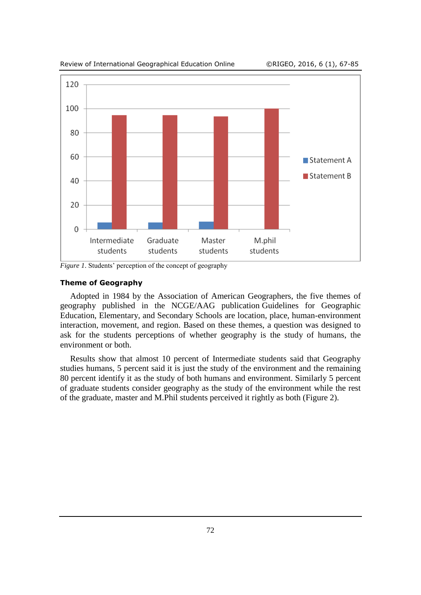

*Figure 1*. Students' perception of the concept of geography

#### **Theme of Geography**

Adopted in 1984 by the Association of American Geographers, the five themes of geography published in the NCGE/AAG publication Guidelines for Geographic Education, Elementary, and Secondary Schools are location, place, human-environment interaction, movement, and region. Based on these themes, a question was designed to ask for the students perceptions of whether geography is the study of humans, the environment or both.

Results show that almost 10 percent of Intermediate students said that Geography studies humans, 5 percent said it is just the study of the environment and the remaining 80 percent identify it as the study of both humans and environment. Similarly 5 percent of graduate students consider geography as the study of the environment while the rest of the graduate, master and M.Phil students perceived it rightly as both [\(Figure 2\)](#page-6-0).

Review of International Geographical Education Online ©RIGEO, 2016, 6 (1), 67-85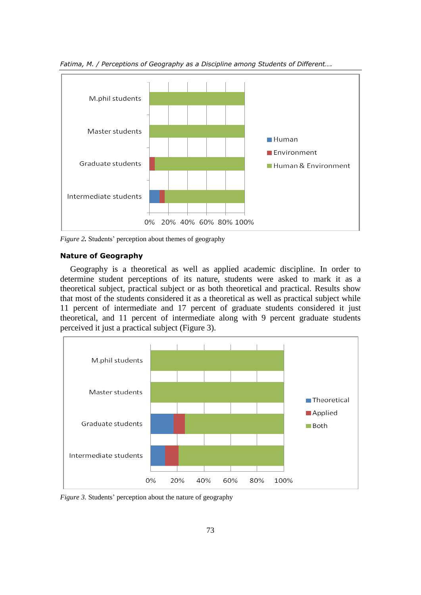

*Fatima, M. / Perceptions of Geography as a Discipline among Students of Different….*

<span id="page-6-0"></span>*Figure 2.* Students' perception about themes of geography

#### **Nature of Geography**

Geography is a theoretical as well as applied academic discipline. In order to determine student perceptions of its nature, students were asked to mark it as a theoretical subject, practical subject or as both theoretical and practical. Results show that most of the students considered it as a theoretical as well as practical subject while 11 percent of intermediate and 17 percent of graduate students considered it just theoretical, and 11 percent of intermediate along with 9 percent graduate students perceived it just a practical subject [\(Figure 3\)](#page-6-1).



<span id="page-6-1"></span>*Figure 3.* Students' perception about the nature of geography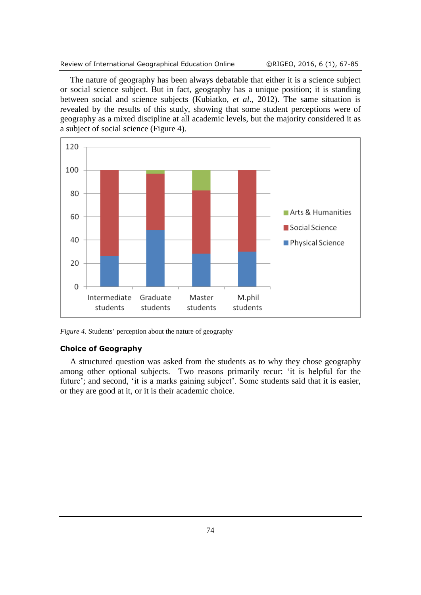#### Review of International Geographical Education Online ©RIGEO, 2016, 6 (1), 67-85

The nature of geography has been always debatable that either it is a science subject or social science subject. But in fact, geography has a unique position; it is standing between social and science subjects [\(Kubiatko,](#page-17-7) *et al*., 2012). The same situation is revealed by the results of this study, showing that some student perceptions were of geography as a mixed discipline at all academic levels, but the majority considered it as a subject of social science [\(Figure 4\)](#page-7-0).



<span id="page-7-0"></span>*Figure 4.* Students' perception about the nature of geography

#### **Choice of Geography**

A structured question was asked from the students as to why they chose geography among other optional subjects. Two reasons primarily recur: 'it is helpful for the future'; and second, 'it is a marks gaining subject'. Some students said that it is easier, or they are good at it, or it is their academic choice.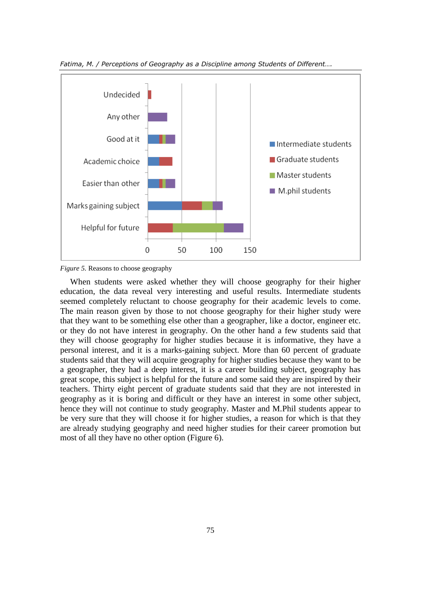

*Fatima, M. / Perceptions of Geography as a Discipline among Students of Different….*

*Figure 5.* Reasons to choose geography

When students were asked whether they will choose geography for their higher education, the data reveal very interesting and useful results. Intermediate students seemed completely reluctant to choose geography for their academic levels to come. The main reason given by those to not choose geography for their higher study were that they want to be something else other than a geographer, like a doctor, engineer etc. or they do not have interest in geography. On the other hand a few students said that they will choose geography for higher studies because it is informative, they have a personal interest, and it is a marks-gaining subject. More than 60 percent of graduate students said that they will acquire geography for higher studies because they want to be a geographer, they had a deep interest, it is a career building subject, geography has great scope, this subject is helpful for the future and some said they are inspired by their teachers. Thirty eight percent of graduate students said that they are not interested in geography as it is boring and difficult or they have an interest in some other subject, hence they will not continue to study geography. Master and M.Phil students appear to be very sure that they will choose it for higher studies, a reason for which is that they are already studying geography and need higher studies for their career promotion but most of all they have no other option [\(Figure 6\)](#page-9-0).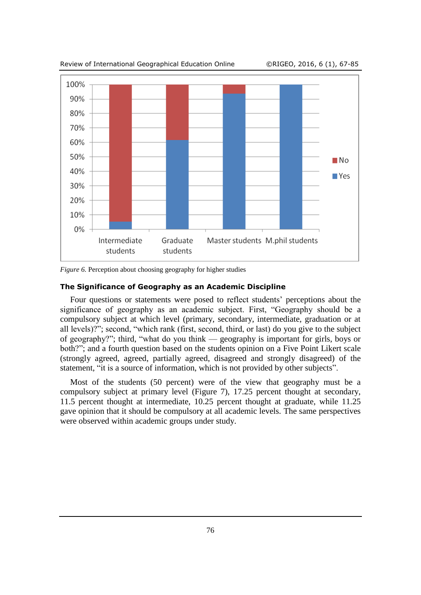Review of International Geographical Education Online ©RIGEO, 2016, 6 (1), 67-85



<span id="page-9-0"></span>*Figure 6.* Perception about choosing geography for higher studies

#### **The Significance of Geography as an Academic Discipline**

Four questions or statements were posed to reflect students' perceptions about the significance of geography as an academic subject. First, "Geography should be a compulsory subject at which level (primary, secondary, intermediate, graduation or at all levels)?"; second, "which rank (first, second, third, or last) do you give to the subject of geography?"; third, "what do you think — geography is important for girls, boys or both?"; and a fourth question based on the students opinion on a Five Point Likert scale (strongly agreed, agreed, partially agreed, disagreed and strongly disagreed) of the statement, "it is a source of information, which is not provided by other subjects".

Most of the students (50 percent) were of the view that geography must be a compulsory subject at primary level [\(Figure 7\)](#page-10-0), 17.25 percent thought at secondary, 11.5 percent thought at intermediate, 10.25 percent thought at graduate, while 11.25 gave opinion that it should be compulsory at all academic levels. The same perspectives were observed within academic groups under study.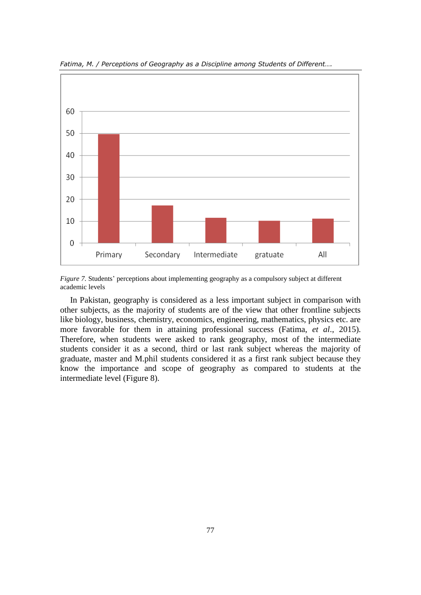

*Fatima, M. / Perceptions of Geography as a Discipline among Students of Different….*

<span id="page-10-0"></span>*Figure 7.* Students' perceptions about implementing geography as a compulsory subject at different academic levels

In Pakistan, geography is considered as a less important subject in comparison with other subjects, as the majority of students are of the view that other frontline subjects like biology, business, chemistry, economics, engineering, mathematics, physics etc. are more favorable for them in attaining professional success [\(Fatima,](#page-17-0) *et al*., 2015). Therefore, when students were asked to rank geography, most of the intermediate students consider it as a second, third or last rank subject whereas the majority of graduate, master and M.phil students considered it as a first rank subject because they know the importance and scope of geography as compared to students at the intermediate level (Figure 8).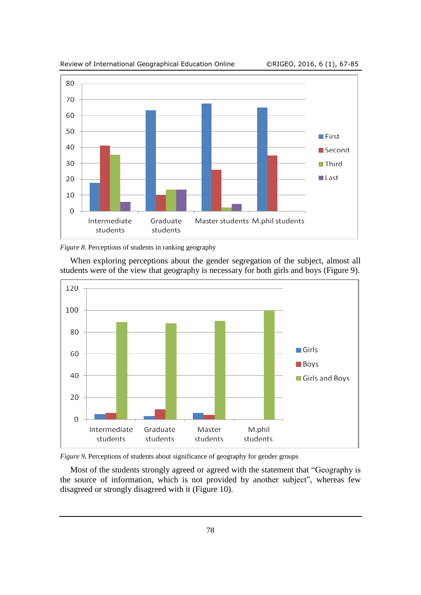

Review of International Geographical Education Online ©RIGEO, 2016, 6 (1), 67-85

When exploring perceptions about the gender segregation of the subject, almost all students were of the view that geography is necessary for both girls and boys [\(Figure 9\)](#page-11-0).



<span id="page-11-0"></span>

Most of the students strongly agreed or agreed with the statement that "Geography is the source of information, which is not provided by another subject", whereas few disagreed or strongly disagreed with it [\(Figure 10\)](#page-12-0).

*Figure 8.* Perceptions of students in ranking geography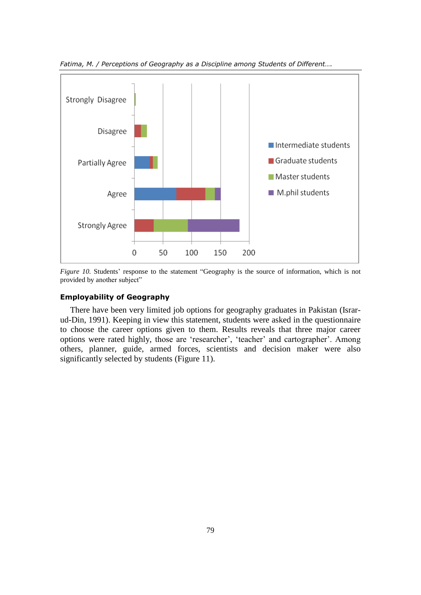

*Fatima, M. / Perceptions of Geography as a Discipline among Students of Different….*

<span id="page-12-0"></span>*Figure 10.* Students' response to the statement "Geography is the source of information, which is not provided by another subject"

#### **Employability of Geography**

There have been very limited job options for geography graduates in Pakistan [\(Israr](#page-17-1)[ud-Din, 1991\)](#page-17-1). Keeping in view this statement, students were asked in the questionnaire to choose the career options given to them. Results reveals that three major career options were rated highly, those are 'researcher', 'teacher' and cartographer'. Among others, planner, guide, armed forces, scientists and decision maker were also significantly selected by students [\(Figure 11\)](#page-13-0).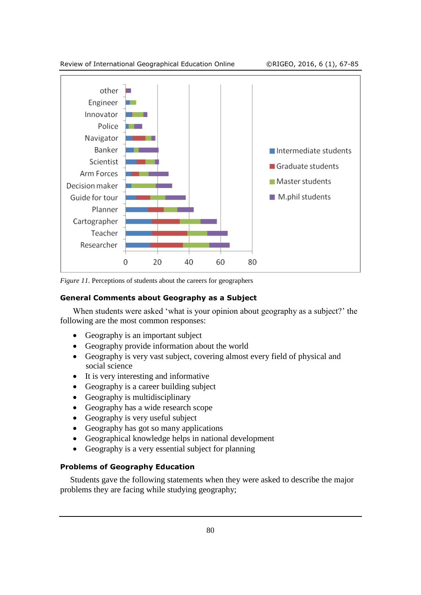

<span id="page-13-0"></span>*Figure 11.* Perceptions of students about the careers for geographers

### **General Comments about Geography as a Subject**

When students were asked 'what is your opinion about geography as a subject?' the following are the most common responses:

- Geography is an important subject
- Geography provide information about the world
- Geography is very vast subject, covering almost every field of physical and social science
- It is very interesting and informative
- Geography is a career building subject
- Geography is multidisciplinary
- Geography has a wide research scope
- Geography is very useful subject
- Geography has got so many applications
- Geographical knowledge helps in national development
- Geography is a very essential subject for planning

## **Problems of Geography Education**

Students gave the following statements when they were asked to describe the major problems they are facing while studying geography;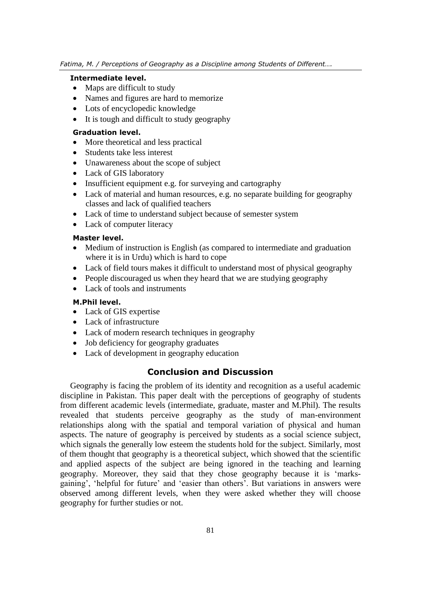### **Intermediate level.**

- Maps are difficult to study
- Names and figures are hard to memorize
- Lots of encyclopedic knowledge
- It is tough and difficult to study geography

# **Graduation level.**

- More theoretical and less practical
- Students take less interest
- Unawareness about the scope of subject
- Lack of GIS laboratory
- Insufficient equipment e.g. for surveying and cartography
- Lack of material and human resources, e.g. no separate building for geography classes and lack of qualified teachers
- Lack of time to understand subject because of semester system
- Lack of computer literacy

# **Master level.**

- Medium of instruction is English (as compared to intermediate and graduation where it is in Urdu) which is hard to cope
- Lack of field tours makes it difficult to understand most of physical geography
- People discouraged us when they heard that we are studying geography
- Lack of tools and instruments

# **M.Phil level.**

- Lack of GIS expertise
- Lack of infrastructure
- Lack of modern research techniques in geography
- Job deficiency for geography graduates
- Lack of development in geography education

# **Conclusion and Discussion**

Geography is facing the problem of its identity and recognition as a useful academic discipline in Pakistan. This paper dealt with the perceptions of geography of students from different academic levels (intermediate, graduate, master and M.Phil). The results revealed that students perceive geography as the study of man-environment relationships along with the spatial and temporal variation of physical and human aspects. The nature of geography is perceived by students as a social science subject, which signals the generally low esteem the students hold for the subject. Similarly, most of them thought that geography is a theoretical subject, which showed that the scientific and applied aspects of the subject are being ignored in the teaching and learning geography. Moreover, they said that they chose geography because it is 'marksgaining', 'helpful for future' and 'easier than others'. But variations in answers were observed among different levels, when they were asked whether they will choose geography for further studies or not.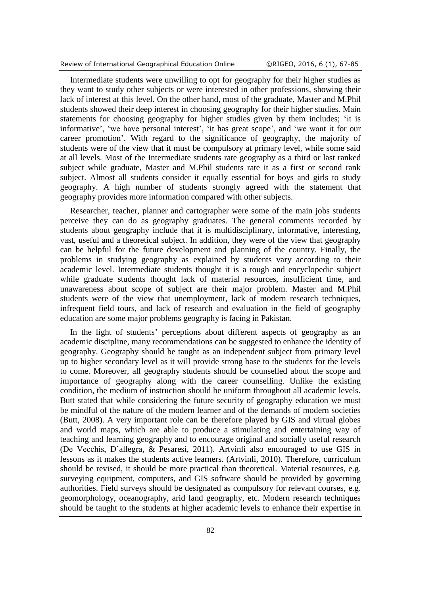Review of International Geographical Education Online ©RIGEO, 2016, 6 (1), 67-85

Intermediate students were unwilling to opt for geography for their higher studies as they want to study other subjects or were interested in other professions, showing their lack of interest at this level. On the other hand, most of the graduate, Master and M.Phil students showed their deep interest in choosing geography for their higher studies. Main statements for choosing geography for higher studies given by them includes; 'it is informative', 'we have personal interest', 'it has great scope', and 'we want it for our career promotion'. With regard to the significance of geography, the majority of students were of the view that it must be compulsory at primary level, while some said at all levels. Most of the Intermediate students rate geography as a third or last ranked subject while graduate, Master and M.Phil students rate it as a first or second rank subject. Almost all students consider it equally essential for boys and girls to study geography. A high number of students strongly agreed with the statement that geography provides more information compared with other subjects.

Researcher, teacher, planner and cartographer were some of the main jobs students perceive they can do as geography graduates. The general comments recorded by students about geography include that it is multidisciplinary, informative, interesting, vast, useful and a theoretical subject. In addition, they were of the view that geography can be helpful for the future development and planning of the country. Finally, the problems in studying geography as explained by students vary according to their academic level. Intermediate students thought it is a tough and encyclopedic subject while graduate students thought lack of material resources, insufficient time, and unawareness about scope of subject are their major problem. Master and M.Phil students were of the view that unemployment, lack of modern research techniques, infrequent field tours, and lack of research and evaluation in the field of geography education are some major problems geography is facing in Pakistan.

In the light of students' perceptions about different aspects of geography as an academic discipline, many recommendations can be suggested to enhance the identity of geography. Geography should be taught as an independent subject from primary level up to higher secondary level as it will provide strong base to the students for the levels to come. Moreover, all geography students should be counselled about the scope and importance of geography along with the career counselling. Unlike the existing condition, the medium of instruction should be uniform throughout all academic levels. Butt stated that while considering the future security of geography education we must be mindful of the nature of the modern learner and of the demands of modern societies [\(Butt, 2008\)](#page-16-6). A very important role can be therefore played by GIS and virtual globes and world maps, which are able to produce a stimulating and entertaining way of teaching and learning geography and to encourage original and socially useful research [\(De Vecchis, D'allegra, & Pesaresi, 2011\)](#page-16-7). Artvinli also encouraged to use GIS in lessons as it makes the students active learners. [\(Artvinli, 2010\)](#page-16-8). Therefore, curriculum should be revised, it should be more practical than theoretical. Material resources, e.g. surveying equipment, computers, and GIS software should be provided by governing authorities. Field surveys should be designated as compulsory for relevant courses, e.g. geomorphology, oceanography, arid land geography, etc. Modern research techniques should be taught to the students at higher academic levels to enhance their expertise in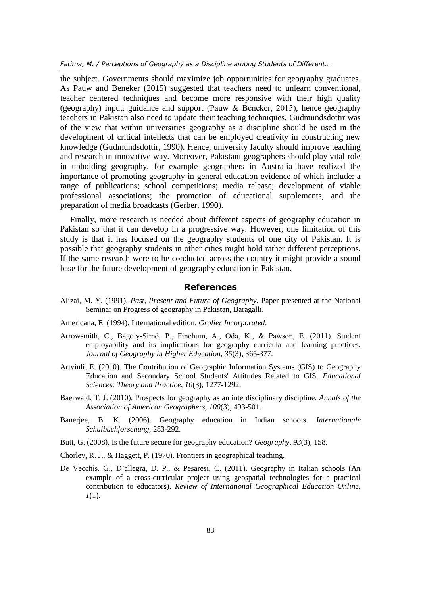*Fatima, M. / Perceptions of Geography as a Discipline among Students of Different….*

the subject. Governments should maximize job opportunities for geography graduates. As Pauw and Beneker (2015) suggested that teachers need to unlearn conventional, teacher centered techniques and become more responsive with their high quality (geography) input, guidance and support [\(Pauw & Béneker, 2015\)](#page-17-10), hence geography teachers in Pakistan also need to update their teaching techniques. Gudmundsdottir was of the view that within universities geography as a discipline should be used in the development of critical intellects that can be employed creativity in constructing new knowledge [\(Gudmundsdottir, 1990\)](#page-17-11). Hence, university faculty should improve teaching and research in innovative way. Moreover, Pakistani geographers should play vital role in upholding geography, for example geographers in Australia have realized the importance of promoting geography in general education evidence of which include; a range of publications; school competitions; media release; development of viable professional associations; the promotion of educational supplements, and the preparation of media broadcasts [\(Gerber, 1990\)](#page-17-12).

Finally, more research is needed about different aspects of geography education in Pakistan so that it can develop in a progressive way. However, one limitation of this study is that it has focused on the geography students of one city of Pakistan. It is possible that geography students in other cities might hold rather different perceptions. If the same research were to be conducted across the country it might provide a sound base for the future development of geography education in Pakistan.

# **References**

- <span id="page-16-1"></span>Alizai, M. Y. (1991). *Past, Present and Future of Geography.* Paper presented at the National Seminar on Progress of geography in Pakistan, Baragalli.
- <span id="page-16-2"></span>Americana, E. (1994). International edition. *Grolier Incorporated*.
- <span id="page-16-5"></span>Arrowsmith, C., Bagoly-Simó, P., Finchum, A., Oda, K., & Pawson, E. (2011). Student employability and its implications for geography curricula and learning practices. *Journal of Geography in Higher Education, 35*(3), 365-377.
- <span id="page-16-8"></span>Artvinli, E. (2010). The Contribution of Geographic Information Systems (GIS) to Geography Education and Secondary School Students' Attitudes Related to GIS. *Educational Sciences: Theory and Practice, 10*(3), 1277-1292.
- <span id="page-16-4"></span>Baerwald, T. J. (2010). Prospects for geography as an interdisciplinary discipline. *Annals of the Association of American Geographers, 100*(3), 493-501.
- <span id="page-16-0"></span>Banerjee, B. K. (2006). Geography education in Indian schools. *Internationale Schulbuchforschung*, 283-292.
- <span id="page-16-6"></span>Butt, G. (2008). Is the future secure for geography education? *Geography, 93*(3), 158.
- <span id="page-16-3"></span>Chorley, R. J., & Haggett, P. (1970). Frontiers in geographical teaching.
- <span id="page-16-7"></span>De Vecchis, G., D'allegra, D. P., & Pesaresi, C. (2011). Geography in Italian schools (An example of a cross-curricular project using geospatial technologies for a practical contribution to educators). *Review of International Geographical Education Online, 1*(1).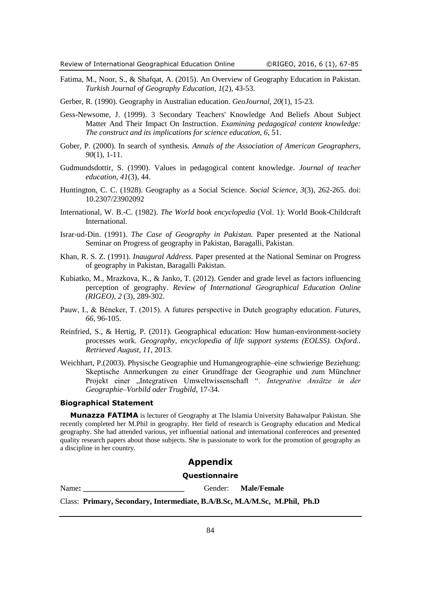- <span id="page-17-0"></span>Fatima, M., Noor, S., & Shafqat, A. (2015). An Overview of Geography Education in Pakistan. *Turkish Journal of Geography Education, 1*(2), 43-53.
- <span id="page-17-12"></span>Gerber, R. (1990). Geography in Australian education. *GeoJournal, 20*(1), 15-23.
- <span id="page-17-5"></span>Gess-Newsome, J. (1999). 3 Secondary Teachers' Knowledge And Beliefs About Subject Matter And Their Impact On Instruction. *Examining pedagogical content knowledge: The construct and its implications for science education, 6*, 51.
- <span id="page-17-4"></span>Gober, P. (2000). In search of synthesis. *Annals of the Association of American Geographers, 90*(1), 1-11.
- <span id="page-17-11"></span>Gudmundsdottir, S. (1990). Values in pedagogical content knowledge. *Journal of teacher education, 41*(3), 44.
- <span id="page-17-8"></span>Huntington, C. C. (1928). Geography as a Social Science. *Social Science, 3*(3), 262-265. doi: 10.2307/23902092
- <span id="page-17-3"></span>International, W. B.-C. (1982). *The World book encyclopedia* (Vol. 1): World Book-Childcraft International.
- <span id="page-17-1"></span>Israr-ud-Din. (1991). *The Case of Geography in Pakistan.* Paper presented at the National Seminar on Progress of geography in Pakistan, Baragalli, Pakistan.
- <span id="page-17-2"></span>Khan, R. S. Z. (1991). *Inaugural Address.* Paper presented at the National Seminar on Progress of geography in Pakistan, Baragalli Pakistan.
- <span id="page-17-7"></span>Kubiatko, M., Mrazkova, K., & Janko, T. (2012). Gender and grade level as factors influencing perception of geography. *Review of International Geographical Education Online (RIGEO), 2* (3), 289-302.
- <span id="page-17-10"></span>Pauw, I., & Béneker, T. (2015). A futures perspective in Dutch geography education. *Futures, 66*, 96-105.
- <span id="page-17-6"></span>Reinfried, S., & Hertig, P. (2011). Geographical education: How human-environment-society processes work. *Geography, encyclopedia of life support systems (EOLSS). Oxford.. Retrieved August, 11*, 2013.
- <span id="page-17-9"></span>Weichhart, P.(2003). Physische Geographie und Humangeographie–eine schwierige Beziehung: Skeptische Anmerkungen zu einer Grundfrage der Geographie und zum Münchner Projekt einer "Integrativen Umweltwissenschaft". *Integrative Ansätze in der Geographie–Vorbild oder Trugbild*, 17-34.

#### **Biographical Statement**

**Munazza FATIMA** is lecturer of Geography at The Islamia University Bahawalpur Pakistan. She recently completed her M.Phil in geography. Her field of research is Geography education and Medical geography. She had attended various, yet influential national and international conferences and presented quality research papers about those subjects. She is passionate to work for the promotion of geography as a discipline in her country.

### **Appendix**

#### **Questionnaire**

Name: **Name**: **Male/Female Cender: Male/Female** 

Class: **Primary, Secondary, Intermediate, B.A/B.Sc, M.A/M.Sc, M.Phil, Ph.D**